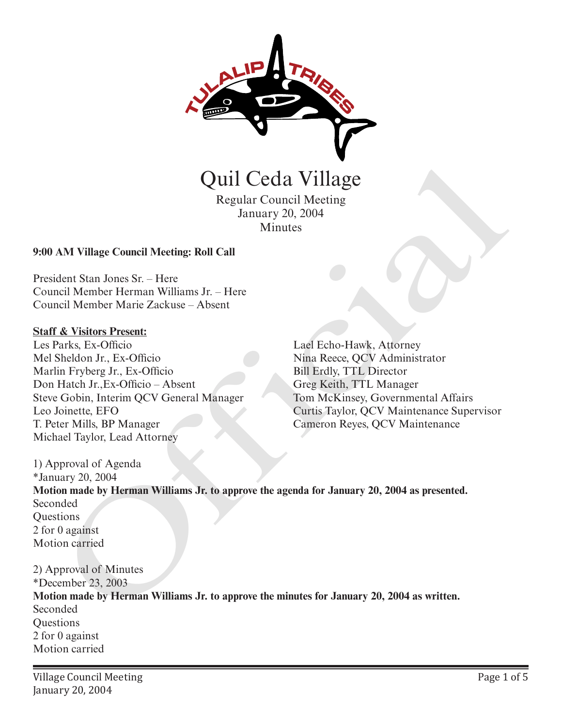

Regular Council Meeting January 20, 2004 Minutes

### **9:00 AM Village Council Meeting: Roll Call**

President Stan Jones Sr. – Here Council Member Herman Williams Jr. – Here Council Member Marie Zackuse – Absent

#### **Staff & Visitors Present:**

Les Parks, Ex-Officio Mel Sheldon Jr., Ex-Officio Marlin Fryberg Jr., Ex-Officio Don Hatch Jr.,Ex-Officio – Absent Steve Gobin, Interim QCV General Manager Leo Joinette, EFO T. Peter Mills, BP Manager Michael Taylor, Lead Attorney

Lael Echo-Hawk, Attorney Nina Reece, QCV Administrator Bill Erdly, TTL Director Greg Keith, TTL Manager Tom McKinsey, Governmental Affairs Curtis Taylor, QCV Maintenance Supervisor Cameron Reyes, QCV Maintenance

1) Approval of Agenda \*January 20, 2004 **Motion made by Herman Williams Jr. to approve the agenda for January 20, 2004 as presented.** Seconded **Ouestions** 2 for 0 against Motion carried Quill Ceda Village<br>
Regular Council Meeting<br>
Minutes<br>
AAM Village Council Meeting: Roll Call<br>
dent Stan Jones Sr. – Here<br>
in Hypher Herman Williams Jr. – Here<br>
in Fryberg Jr., Its-Ollicio<br>
in Fryberg Jr., Its-Ollicio<br>
in T

2) Approval of Minutes \*December 23, 2003 **Motion made by Herman Williams Jr. to approve the minutes for January 20, 2004 as written.** Seconded **Ouestions** 2 for 0 against Motion carried

Village Council Meeting January 20, 2004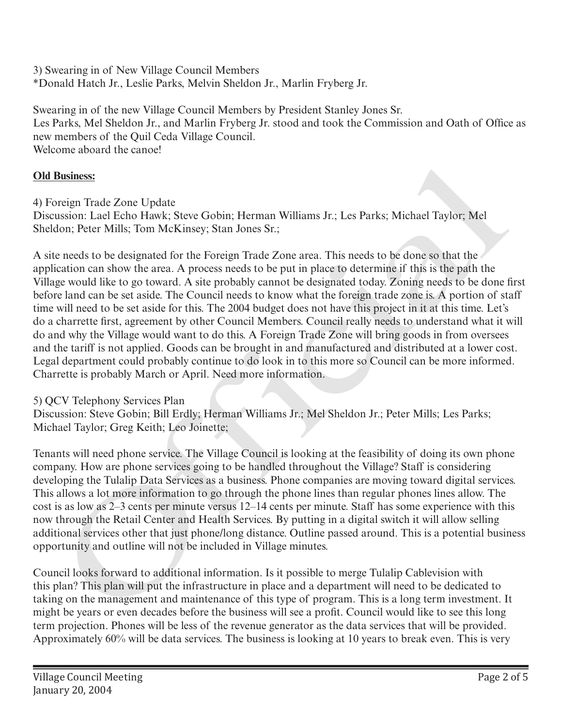3) Swearing in of New Village Council Members \*Donald Hatch Jr., Leslie Parks, Melvin Sheldon Jr., Marlin Fryberg Jr.

Swearing in of the new Village Council Members by President Stanley Jones Sr. Les Parks, Mel Sheldon Jr., and Marlin Fryberg Jr. stood and took the Commission and Oath of Office as new members of the Quil Ceda Village Council. Welcome aboard the canoe!

# **Old Business:**

4) Foreign Trade Zone Update

Discussion: Lael Echo Hawk; Steve Gobin; Herman Williams Jr.; Les Parks; Michael Taylor; Mel Sheldon; Peter Mills; Tom McKinsey; Stan Jones Sr.;

A site needs to be designated for the Foreign Trade Zone area. This needs to be done so that the application can show the area. A process needs to be put in place to determine if this is the path the Village would like to go toward. A site probably cannot be designated today. Zoning needs to be done first before land can be set aside. The Council needs to know what the foreign trade zone is. A portion of staff time will need to be set aside for this. The 2004 budget does not have this project in it at this time. Let's do a charrette first, agreement by other Council Members. Council really needs to understand what it will do and why the Village would want to do this. A Foreign Trade Zone will bring goods in from oversees and the tariff is not applied. Goods can be brought in and manufactured and distributed at a lower cost. Legal department could probably continue to do look in to this more so Council can be more informed. Charrette is probably March or April. Need more information. **Business:**<br>
Business:<br>
oreign Trade Zone Update<br>
susion: Late Feho Hraw; Steve Gobin; Herman Williams Jr.; Les Parks; Michael Taylor; Mel<br>
susion: Leat Hills; Tom MeKinsey; Stan Jones Sr.;<br>
ce needs to be designated for

# 5) QCV Telephony Services Plan

Discussion: Steve Gobin; Bill Erdly; Herman Williams Jr.; Mel Sheldon Jr.; Peter Mills; Les Parks; Michael Taylor; Greg Keith; Leo Joinette;

Tenants will need phone service. The Village Council is looking at the feasibility of doing its own phone company. How are phone services going to be handled throughout the Village? Staff is considering developing the Tulalip Data Services as a business. Phone companies are moving toward digital services. This allows a lot more information to go through the phone lines than regular phones lines allow. The cost is as low as 2–3 cents per minute versus 12–14 cents per minute. Staff has some experience with this now through the Retail Center and Health Services. By putting in a digital switch it will allow selling additional services other that just phone/long distance. Outline passed around. This is a potential business opportunity and outline will not be included in Village minutes.

Council looks forward to additional information. Is it possible to merge Tulalip Cablevision with this plan? This plan will put the infrastructure in place and a department will need to be dedicated to taking on the management and maintenance of this type of program. This is a long term investment. It might be years or even decades before the business will see a profit. Council would like to see this long term projection. Phones will be less of the revenue generator as the data services that will be provided. Approximately 60% will be data services. The business is looking at 10 years to break even. This is very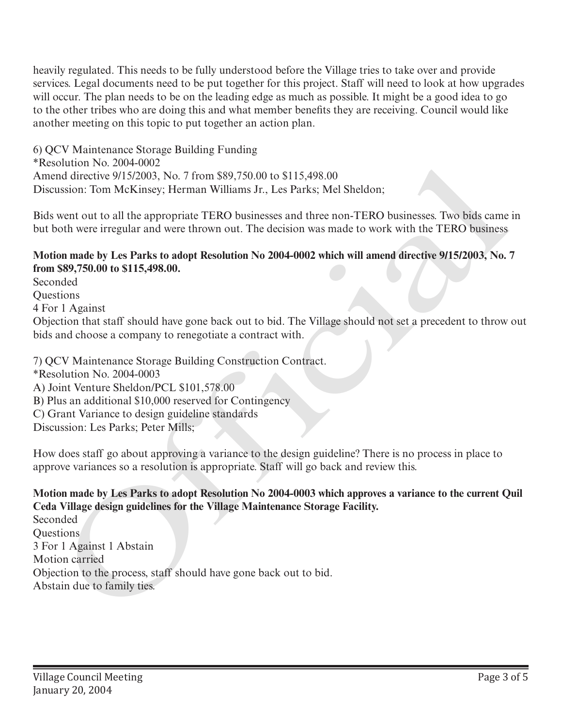heavily regulated. This needs to be fully understood before the Village tries to take over and provide services. Legal documents need to be put together for this project. Staff will need to look at how upgrades will occur. The plan needs to be on the leading edge as much as possible. It might be a good idea to go to the other tribes who are doing this and what member benefits they are receiving. Council would like another meeting on this topic to put together an action plan.

6) QCV Maintenance Storage Building Funding \*Resolution No. 2004-0002 Amend directive 9/15/2003, No. 7 from \$89,750.00 to \$115,498.00 Discussion: Tom McKinsey; Herman Williams Jr., Les Parks; Mel Sheldon;

Bids went out to all the appropriate TERO businesses and three non-TERO businesses. Two bids came in but both were irregular and were thrown out. The decision was made to work with the TERO business

### **Motion made by Les Parks to adopt Resolution No 2004-0002 which will amend directive 9/15/2003, No. 7 from \$89,750.00 to \$115,498.00.**

Seconded **Ouestions** 4 For 1 Against Objection that staff should have gone back out to bid. The Village should not set a precedent to throw out bids and choose a company to renegotiate a contract with. Technitin No. 2004-0002<br>
Amend directive 9/15/2003, No. 7 from \$89,750.00 to \$115,498.00<br>
Discussion: Tom McKinsey; Herman Williams Jr., Les Parks; Mel Sheldon;<br>
Discussion: Tom McKinsey; Herman Williams Jr., Les Parks; Me

7) QCV Maintenance Storage Building Construction Contract.

- \*Resolution No. 2004-0003
- A) Joint Venture Sheldon/PCL \$101,578.00
- B) Plus an additional \$10,000 reserved for Contingency
- C) Grant Variance to design guideline standards
- Discussion: Les Parks; Peter Mills;

How does staff go about approving a variance to the design guideline? There is no process in place to approve variances so a resolution is appropriate. Staff will go back and review this.

## **Motion made by Les Parks to adopt Resolution No 2004-0003 which approves a variance to the current Quil Ceda Village design guidelines for the Village Maintenance Storage Facility.**

Seconded Questions 3 For 1 Against 1 Abstain Motion carried Objection to the process, staff should have gone back out to bid.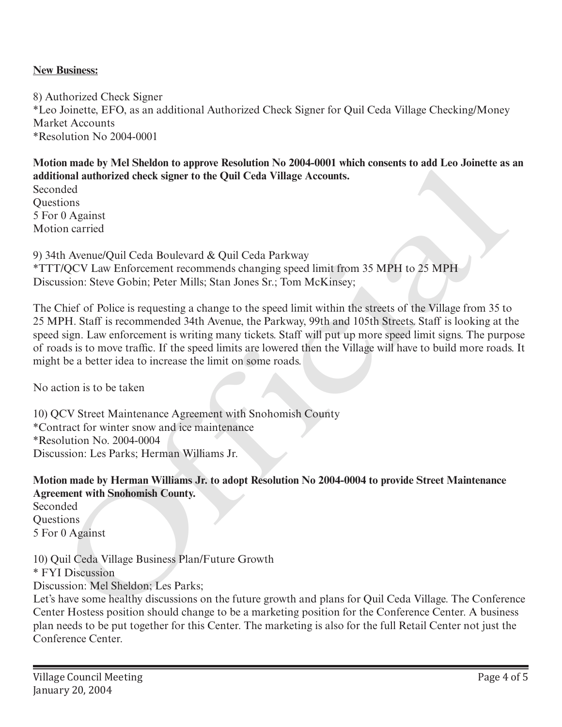### **New Business:**

8) Authorized Check Signer \*Leo Joinette, EFO, as an additional Authorized Check Signer for Quil Ceda Village Checking/Money Market Accounts \*Resolution No 2004-0001

**Motion made by Mel Sheldon to approve Resolution No 2004-0001 which consents to add Leo Joinette as an additional authorized check signer to the Quil Ceda Village Accounts.**

Seconded **Ouestions** 5 For 0 Against Motion carried

9) 34th Avenue/Quil Ceda Boulevard & Quil Ceda Parkway \*TTT/QCV Law Enforcement recommends changing speed limit from 35 MPH to 25 MPH Discussion: Steve Gobin; Peter Mills; Stan Jones Sr.; Tom McKinsey;

The Chief of Police is requesting a change to the speed limit within the streets of the Village from 35 to 25 MPH. Staff is recommended 34th Avenue, the Parkway, 99th and 105th Streets. Staff is looking at the speed sign. Law enforcement is writing many tickets. Staff will put up more speed limit signs. The purpose of roads is to move traffic. If the speed limits are lowered then the Village will have to build more roads. It might be a better idea to increase the limit on some roads. on mane by Wel Sneedan to approve resontion No 2004-0001 Well Top 2004-0004 where the Conference Center. A business of the Conference Center, A business of the Space Branch Center (Papel Ceda Village Accounts.<br>
To control

No action is to be taken

10) QCV Street Maintenance Agreement with Snohomish County \*Contract for winter snow and ice maintenance \*Resolution No. 2004-0004 Discussion: Les Parks; Herman Williams Jr.

**Motion made by Herman Williams Jr. to adopt Resolution No 2004-0004 to provide Street Maintenance Agreement with Snohomish County.**

Seconded **Ouestions** 5 For 0 Against

10) Quil Ceda Village Business Plan/Future Growth \* FYI Discussion Discussion: Mel Sheldon; Les Parks;

Let's have some healthy discussions on the future growth and plans for Quil Ceda Village. The Conference Center Hostess position should change to be a marketing position for the Conference Center. A business plan needs to be put together for this Center. The marketing is also for the full Retail Center not just the Conference Center.